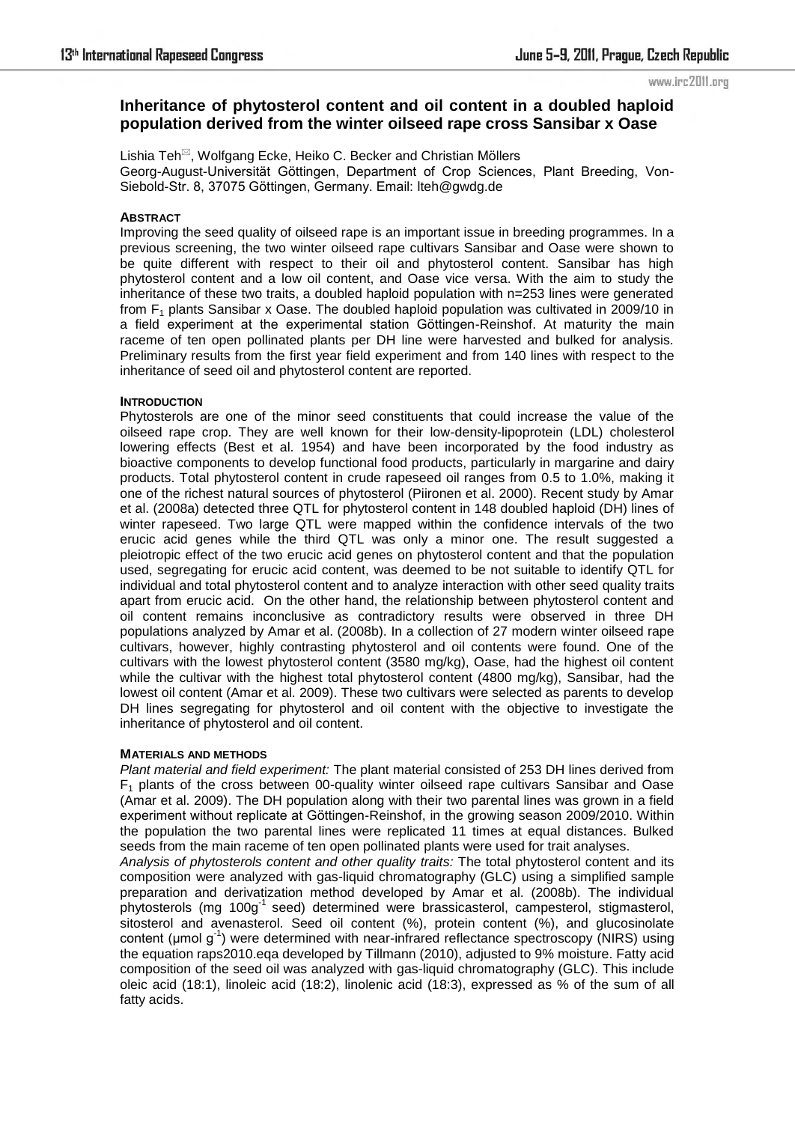#### www.irc2011.org

# **Inheritance of phytosterol content and oil content in a doubled haploid population derived from the winter oilseed rape cross Sansibar x Oase**

Lishia Teh<sup>⊠</sup>, Wolfgang Ecke, Heiko C. Becker and Christian Möllers Georg-August-Universität Göttingen, Department of Crop Sciences, Plant Breeding, Von-Siebold-Str. 8, 37075 Göttingen, Germany. Email: lteh@gwdg.de

## **ABSTRACT**

Improving the seed quality of oilseed rape is an important issue in breeding programmes. In a previous screening, the two winter oilseed rape cultivars Sansibar and Oase were shown to be quite different with respect to their oil and phytosterol content. Sansibar has high phytosterol content and a low oil content, and Oase vice versa. With the aim to study the inheritance of these two traits, a doubled haploid population with n=253 lines were generated from  $F_1$  plants Sansibar x Oase. The doubled haploid population was cultivated in 2009/10 in a field experiment at the experimental station Göttingen-Reinshof. At maturity the main raceme of ten open pollinated plants per DH line were harvested and bulked for analysis. Preliminary results from the first year field experiment and from 140 lines with respect to the inheritance of seed oil and phytosterol content are reported.

#### **INTRODUCTION**

Phytosterols are one of the minor seed constituents that could increase the value of the oilseed rape crop. They are well known for their low-density-lipoprotein (LDL) cholesterol lowering effects (Best et al. 1954) and have been incorporated by the food industry as bioactive components to develop functional food products, particularly in margarine and dairy products. Total phytosterol content in crude rapeseed oil ranges from 0.5 to 1.0%, making it one of the richest natural sources of phytosterol (Piironen et al. 2000). Recent study by Amar et al. (2008a) detected three QTL for phytosterol content in 148 doubled haploid (DH) lines of winter rapeseed. Two large QTL were mapped within the confidence intervals of the two erucic acid genes while the third QTL was only a minor one. The result suggested a pleiotropic effect of the two erucic acid genes on phytosterol content and that the population used, segregating for erucic acid content, was deemed to be not suitable to identify QTL for individual and total phytosterol content and to analyze interaction with other seed quality traits apart from erucic acid. On the other hand, the relationship between phytosterol content and oil content remains inconclusive as contradictory results were observed in three DH populations analyzed by Amar et al. (2008b). In a collection of 27 modern winter oilseed rape cultivars, however, highly contrasting phytosterol and oil contents were found. One of the cultivars with the lowest phytosterol content (3580 mg/kg), Oase, had the highest oil content while the cultivar with the highest total phytosterol content (4800 mg/kg), Sansibar, had the lowest oil content (Amar et al. 2009). These two cultivars were selected as parents to develop DH lines segregating for phytosterol and oil content with the objective to investigate the inheritance of phytosterol and oil content.

#### **MATERIALS AND METHODS**

*Plant material and field experiment:* The plant material consisted of 253 DH lines derived from  $F_1$  plants of the cross between 00-quality winter oilseed rape cultivars Sansibar and Oase (Amar et al. 2009). The DH population along with their two parental lines was grown in a field experiment without replicate at Göttingen-Reinshof, in the growing season 2009/2010. Within the population the two parental lines were replicated 11 times at equal distances. Bulked seeds from the main raceme of ten open pollinated plants were used for trait analyses.

*Analysis of phytosterols content and other quality traits:* The total phytosterol content and its composition were analyzed with gas-liquid chromatography (GLC) using a simplified sample preparation and derivatization method developed by Amar et al. (2008b). The individual phytosterols (mg 100g<sup>-1</sup> seed) determined were brassicasterol, campesterol, stigmasterol, sitosterol and avenasterol. Seed oil content (%), protein content (%), and glucosinolate content ( $\mu$ mol  $g^{-1}$ ) were determined with near-infrared reflectance spectroscopy (NIRS) using the equation raps2010.eqa developed by Tillmann (2010), adjusted to 9% moisture. Fatty acid composition of the seed oil was analyzed with gas-liquid chromatography (GLC). This include oleic acid (18:1), linoleic acid (18:2), linolenic acid (18:3), expressed as % of the sum of all fatty acids.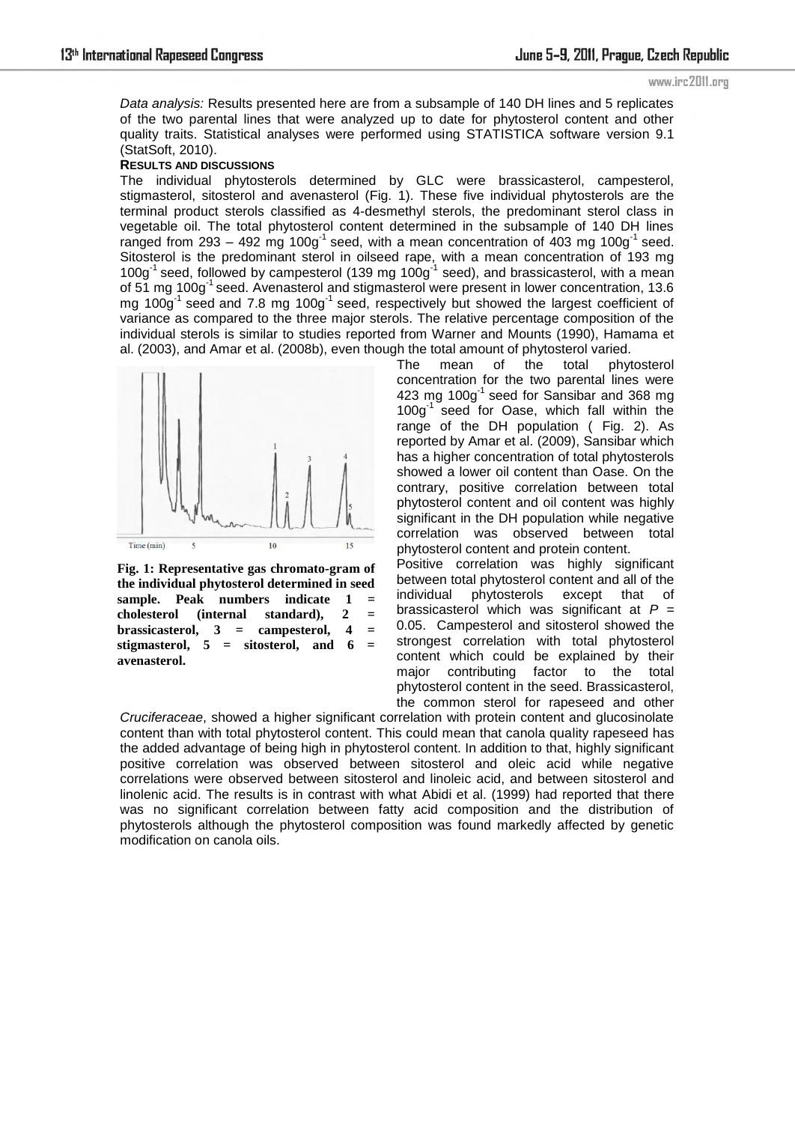*Data analysis:* Results presented here are from a subsample of 140 DH lines and 5 replicates of the two parental lines that were analyzed up to date for phytosterol content and other quality traits. Statistical analyses were performed using STATISTICA software version 9.1 (StatSoft, 2010).

### **RESULTS AND DISCUSSIONS**

The individual phytosterols determined by GLC were brassicasterol, campesterol, stigmasterol, sitosterol and avenasterol [\(Fig. 1\)](#page-1-0). These five individual phytosterols are the terminal product sterols classified as 4-desmethyl sterols, the predominant sterol class in vegetable oil. The total phytosterol content determined in the subsample of 140 DH lines ranged from 293 – 492 mg 100g<sup>-1</sup> seed, with a mean concentration of 403 mg 100g<sup>-1</sup> seed. Sitosterol is the predominant sterol in oilseed rape, with a mean concentration of 193 mg  $100g<sup>-1</sup>$  seed, followed by campesterol (139 mg  $100g<sup>-1</sup>$  seed), and brassicasterol, with a mean of 51 mg 100g<sup>-1</sup> seed. Avenasterol and stigmasterol were present in lower concentration, 13.6 mg  $100g<sup>-1</sup>$  seed and 7.8 mg  $100g<sup>-1</sup>$  seed, respectively but showed the largest coefficient of variance as compared to the three major sterols. The relative percentage composition of the individual sterols is similar to studies reported from Warner and Mounts (1990), Hamama et al. (2003), and Amar et al. (2008b), even though the total amount of phytosterol varied.



<span id="page-1-0"></span>**Fig. 1: Representative gas chromato-gram of the individual phytosterol determined in seed sample. Peak numbers indicate 1 = cholesterol (internal standard), 2 = brassicasterol, 3 = campesterol, 4 = stigmasterol, 5 = sitosterol, and 6 = avenasterol.**

The mean of the total phytosterol concentration for the two parental lines were 423 mg 100 $g^{-1}$  seed for Sansibar and 368 mg 100g<sup>-1</sup> seed for Oase, which fall within the range of the DH population [\( Fig. 2\)](#page-2-0). As reported by Amar et al. (2009), Sansibar which has a higher concentration of total phytosterols showed a lower oil content than Oase. On the contrary, positive correlation between total phytosterol content and oil content was highly significant in the DH population while negative correlation was observed between total phytosterol content and protein content.

Positive correlation was highly significant between total phytosterol content and all of the individual phytosterols except that of brassicasterol which was significant at *P* = 0.05. Campesterol and sitosterol showed the strongest correlation with total phytosterol content which could be explained by their major contributing factor to the total phytosterol content in the seed. Brassicasterol, the common sterol for rapeseed and other

*Cruciferaceae*, showed a higher significant correlation with protein content and glucosinolate content than with total phytosterol content. This could mean that canola quality rapeseed has the added advantage of being high in phytosterol content. In addition to that, highly significant positive correlation was observed between sitosterol and oleic acid while negative correlations were observed between sitosterol and linoleic acid, and between sitosterol and linolenic acid. The results is in contrast with what Abidi et al. (1999) had reported that there was no significant correlation between fatty acid composition and the distribution of phytosterols although the phytosterol composition was found markedly affected by genetic modification on canola oils.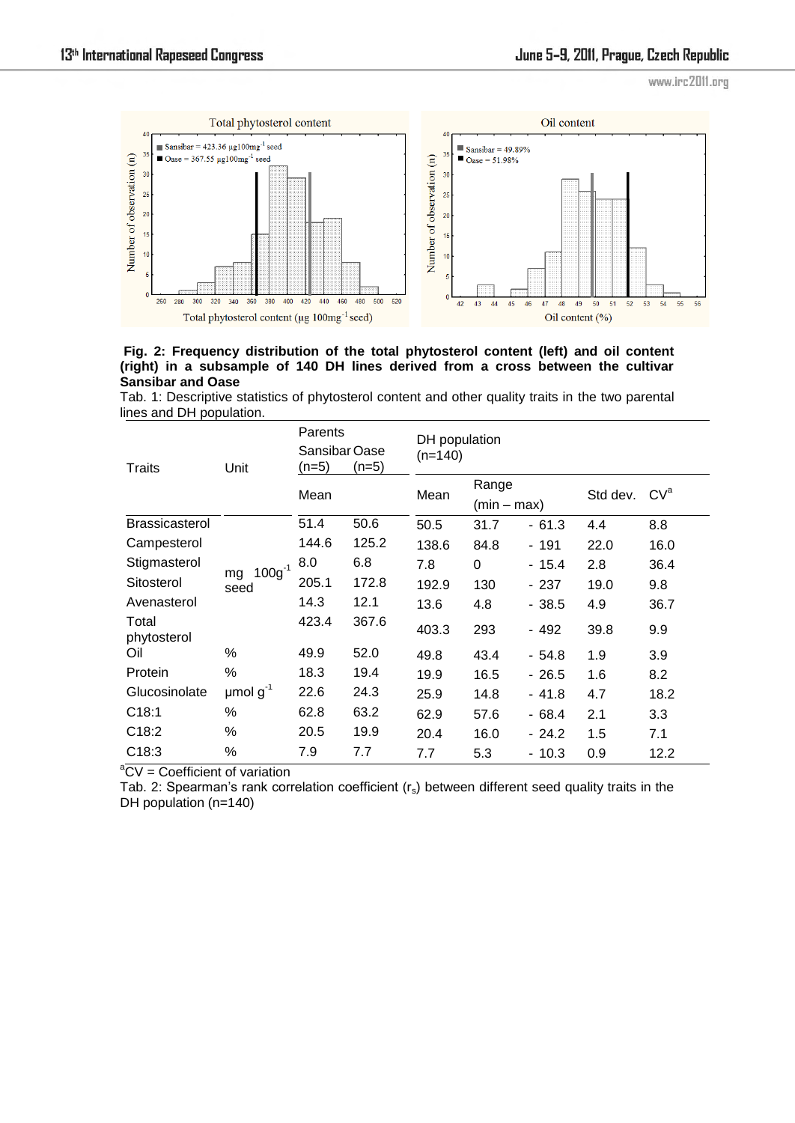www.irc2011.org



## <span id="page-2-0"></span> **Fig. 2: Frequency distribution of the total phytosterol content (left) and oil content (right) in a subsample of 140 DH lines derived from a cross between the cultivar Sansibar and Oase**

Tab. 1: Descriptive statistics of phytosterol content and other quality traits in the two parental lines and DH population.

| Traits               | Unit                      | Parents<br>Sansibar Oase<br>$(n=5)$ | (n=5) | DH population<br>$(n=140)$ |                      |         |          |                 |  |  |  |  |  |
|----------------------|---------------------------|-------------------------------------|-------|----------------------------|----------------------|---------|----------|-----------------|--|--|--|--|--|
|                      |                           | Mean                                |       | Mean                       | Range<br>(min – max) |         | Std dev. | CV <sup>a</sup> |  |  |  |  |  |
| Brassicasterol       |                           | 51.4                                | 50.6  | 50.5                       | 31.7                 | $-61.3$ | 4.4      | 8.8             |  |  |  |  |  |
| Campesterol          | $100g^{-1}$<br>mg<br>seed | 144.6                               | 125.2 | 138.6                      | 84.8                 | - 191   | 22.0     | 16.0            |  |  |  |  |  |
| Stigmasterol         |                           | 8.0                                 | 6.8   | 7.8                        | $\Omega$             | $-15.4$ | 2.8      | 36.4            |  |  |  |  |  |
| Sitosterol           |                           | 205.1                               | 172.8 | 192.9                      | 130                  | - 237   | 19.0     | 9.8             |  |  |  |  |  |
| Avenasterol          |                           | 14.3                                | 12.1  | 13.6                       | 4.8                  | $-38.5$ | 4.9      | 36.7            |  |  |  |  |  |
| Total<br>phytosterol |                           | 423.4                               | 367.6 | 403.3                      | 293                  | - 492   | 39.8     | 9.9             |  |  |  |  |  |
| Oil                  | %                         | 49.9                                | 52.0  | 49.8                       | 43.4                 | - 54.8  | 1.9      | 3.9             |  |  |  |  |  |
| Protein              | %                         | 18.3                                | 19.4  | 19.9                       | 16.5                 | $-26.5$ | 1.6      | 8.2             |  |  |  |  |  |
| Glucosinolate        | $\mu$ mol g <sup>-1</sup> | 22.6                                | 24.3  | 25.9                       | 14.8                 | $-41.8$ | 4.7      | 18.2            |  |  |  |  |  |
| C18:1                | $\%$                      | 62.8                                | 63.2  | 62.9                       | 57.6                 | $-68.4$ | 2.1      | 3.3             |  |  |  |  |  |
| C18:2                | %                         | 19.9<br>20.5                        |       | 20.4                       | 16.0                 | $-24.2$ | 1.5      | 7.1             |  |  |  |  |  |
| C18:3                | %                         | 7.9                                 | 7.7   | 7.7                        | 5.3                  | $-10.3$ | 0.9      | 12.2            |  |  |  |  |  |

 $\mathrm{C}V = \mathrm{Coefficient}$  of variation

Tab. 2: Spearman's rank correlation coefficient  $(r<sub>s</sub>)$  between different seed quality traits in the DH population (n=140)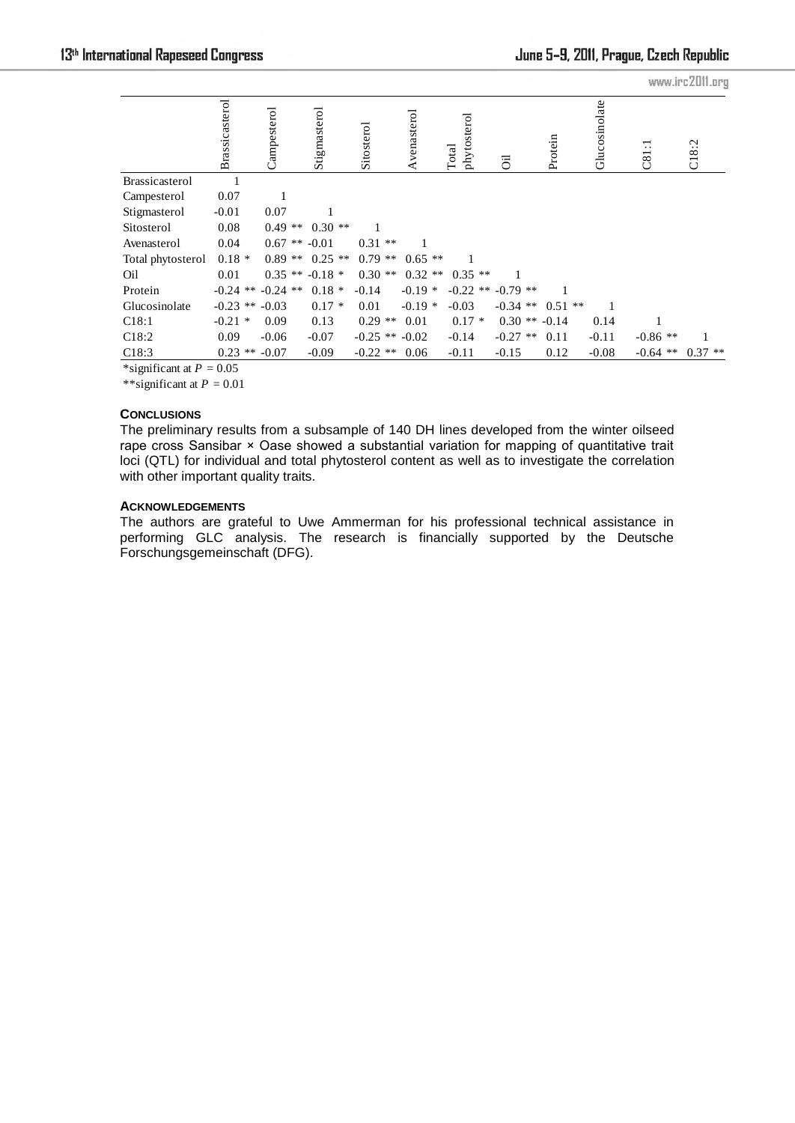|                            |                |  |                       |  |              |  |            |  |                    |                      |  | www.irc2011.org |                   |               |  |            |  |           |
|----------------------------|----------------|--|-----------------------|--|--------------|--|------------|--|--------------------|----------------------|--|-----------------|-------------------|---------------|--|------------|--|-----------|
|                            | Brassicasterol |  | Campesterol           |  | Stigmasterol |  | Sitosterol |  | Avenasterol        | phytosterol<br>Total |  | öl              | Protein           | Glucosinolate |  | ਜ਼<br>C81  |  | C18:2     |
| Brassicasterol             |                |  |                       |  |              |  |            |  |                    |                      |  |                 |                   |               |  |            |  |           |
| Campesterol                | 0.07           |  |                       |  |              |  |            |  |                    |                      |  |                 |                   |               |  |            |  |           |
| Stigmasterol               | $-0.01$        |  | 0.07                  |  |              |  |            |  |                    |                      |  |                 |                   |               |  |            |  |           |
| Sitosterol                 | 0.08           |  | $0.49**$              |  | $0.30**$     |  |            |  |                    |                      |  |                 |                   |               |  |            |  |           |
| Avenasterol                | 0.04           |  | $0.67$ **             |  | $-0.01$      |  | $0.31$ **  |  |                    |                      |  |                 |                   |               |  |            |  |           |
| Total phytosterol          | $0.18*$        |  | $0.89**$              |  | $0.25$ **    |  | $0.79$ **  |  | $0.65**$           |                      |  |                 |                   |               |  |            |  |           |
| Oil                        | 0.01           |  | $0.35$ **             |  | $-0.18*$     |  | $0.30**$   |  | $0.32**$           | $0.35$ **            |  |                 |                   |               |  |            |  |           |
| Protein                    |                |  | $-0.24$ ** $-0.24$ ** |  | $0.18*$      |  | $-0.14$    |  | $-0.19*$           | $-0.22$ **           |  | $-0.79$ **      |                   |               |  |            |  |           |
| Glucosinolate              |                |  | $-0.23$ ** $-0.03$    |  | $0.17*$      |  | 0.01       |  | $-0.19*$           | $-0.03$              |  | $-0.34$ **      | $0.51$ **         | 1             |  |            |  |           |
| C18:1                      | $-0.21$ *      |  | 0.09                  |  | 0.13         |  | $0.29$ **  |  | 0.01               | $0.17*$              |  |                 | $0.30$ ** $-0.14$ | 0.14          |  |            |  |           |
| C18:2                      | 0.09           |  | $-0.06$               |  | $-0.07$      |  |            |  | $-0.25$ ** $-0.02$ | $-0.14$              |  | $-0.27$ **      | 0.11              | $-0.11$       |  | $-0.86$ ** |  |           |
| C18:3                      | $0.23$ **      |  | $-0.07$               |  | $-0.09$      |  | $-0.22$ ** |  | 0.06               | $-0.11$              |  | $-0.15$         | 0.12              | $-0.08$       |  | $-0.64$ ** |  | $0.37$ ** |
| *significant at $P = 0.05$ |                |  |                       |  |              |  |            |  |                    |                      |  |                 |                   |               |  |            |  |           |

\*\*significant at *P* = 0.01

## **CONCLUSIONS**

The preliminary results from a subsample of 140 DH lines developed from the winter oilseed rape cross Sansibar × Oase showed a substantial variation for mapping of quantitative trait loci (QTL) for individual and total phytosterol content as well as to investigate the correlation with other important quality traits.

## **ACKNOWLEDGEMENTS**

The authors are grateful to Uwe Ammerman for his professional technical assistance in performing GLC analysis. The research is financially supported by the Deutsche Forschungsgemeinschaft (DFG).